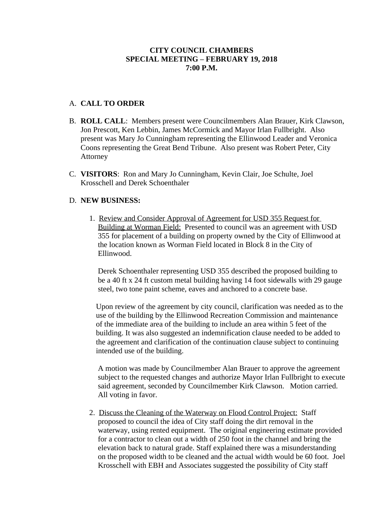# **CITY COUNCIL CHAMBERS SPECIAL MEETING – FEBRUARY 19, 2018 7:00 P.M.**

# A. **CALL TO ORDER**

- B. **ROLL CALL**: Members present were Councilmembers Alan Brauer, Kirk Clawson, Jon Prescott, Ken Lebbin, James McCormick and Mayor Irlan Fullbright. Also present was Mary Jo Cunningham representing the Ellinwood Leader and Veronica Coons representing the Great Bend Tribune. Also present was Robert Peter, City Attorney
- C. **VISITORS**: Ron and Mary Jo Cunningham, Kevin Clair, Joe Schulte, Joel Krosschell and Derek Schoenthaler

#### D. **NEW BUSINESS:**

1. Review and Consider Approval of Agreement for USD 355 Request for Building at Worman Field: Presented to council was an agreement with USD 355 for placement of a building on property owned by the City of Ellinwood at the location known as Worman Field located in Block 8 in the City of Ellinwood.

Derek Schoenthaler representing USD 355 described the proposed building to be a 40 ft x 24 ft custom metal building having 14 foot sidewalls with 29 gauge steel, two tone paint scheme, eaves and anchored to a concrete base.

Upon review of the agreement by city council, clarification was needed as to the use of the building by the Ellinwood Recreation Commission and maintenance of the immediate area of the building to include an area within 5 feet of the building. It was also suggested an indemnification clause needed to be added to the agreement and clarification of the continuation clause subject to continuing intended use of the building.

A motion was made by Councilmember Alan Brauer to approve the agreement subject to the requested changes and authorize Mayor Irlan Fullbright to execute said agreement, seconded by Councilmember Kirk Clawson. Motion carried. All voting in favor.

2. Discuss the Cleaning of the Waterway on Flood Control Project: Staff proposed to council the idea of City staff doing the dirt removal in the waterway, using rented equipment. The original engineering estimate provided for a contractor to clean out a width of 250 foot in the channel and bring the elevation back to natural grade. Staff explained there was a misunderstanding on the proposed width to be cleaned and the actual width would be 60 foot. Joel Krosschell with EBH and Associates suggested the possibility of City staff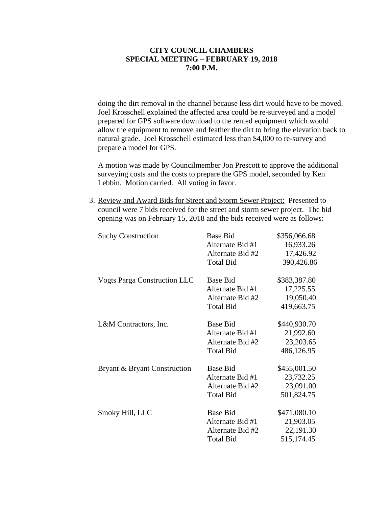# **CITY COUNCIL CHAMBERS SPECIAL MEETING – FEBRUARY 19, 2018 7:00 P.M.**

doing the dirt removal in the channel because less dirt would have to be moved. Joel Krosschell explained the affected area could be re-surveyed and a model prepared for GPS software download to the rented equipment which would allow the equipment to remove and feather the dirt to bring the elevation back to natural grade. Joel Krosschell estimated less than \$4,000 to re-survey and prepare a model for GPS.

A motion was made by Councilmember Jon Prescott to approve the additional surveying costs and the costs to prepare the GPS model, seconded by Ken Lebbin. Motion carried. All voting in favor.

3. Review and Award Bids for Street and Storm Sewer Project: Presented to council were 7 bids received for the street and storm sewer project. The bid opening was on February 15, 2018 and the bids received were as follows:

| <b>Suchy Construction</b>           | <b>Base Bid</b>  | \$356,066.68 |
|-------------------------------------|------------------|--------------|
|                                     | Alternate Bid #1 | 16,933.26    |
|                                     | Alternate Bid #2 | 17,426.92    |
|                                     | <b>Total Bid</b> | 390,426.86   |
| <b>Vogts Parga Construction LLC</b> | <b>Base Bid</b>  | \$383,387.80 |
|                                     | Alternate Bid #1 | 17,225.55    |
|                                     | Alternate Bid #2 | 19,050.40    |
|                                     | <b>Total Bid</b> | 419,663.75   |
| L&M Contractors, Inc.               | <b>Base Bid</b>  | \$440,930.70 |
|                                     | Alternate Bid #1 | 21,992.60    |
|                                     | Alternate Bid #2 | 23,203.65    |
|                                     | <b>Total Bid</b> | 486,126.95   |
| Bryant & Bryant Construction        | <b>Base Bid</b>  | \$455,001.50 |
|                                     | Alternate Bid #1 | 23,732.25    |
|                                     | Alternate Bid #2 | 23,091.00    |
|                                     | <b>Total Bid</b> | 501,824.75   |
| Smoky Hill, LLC                     | <b>Base Bid</b>  | \$471,080.10 |
|                                     | Alternate Bid #1 | 21,903.05    |
|                                     | Alternate Bid #2 | 22,191.30    |
|                                     | <b>Total Bid</b> | 515,174.45   |
|                                     |                  |              |